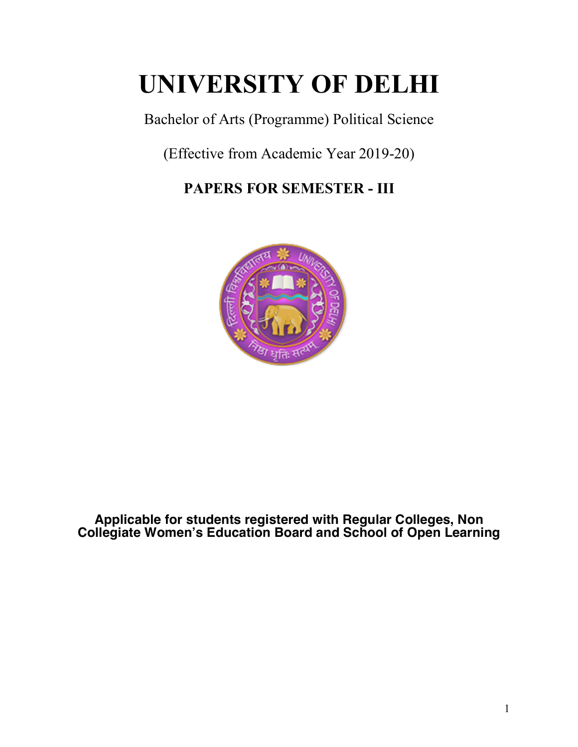# **UNIVERSITY OF DELHI**

Bachelor of Arts (Programme) Political Science

(Effective from Academic Year 2019-20)

# **PAPERS FOR SEMESTER - III**



**Applicable for students registered with Regular Colleges, Non Collegiate Women's Education Board and School of Open Learning**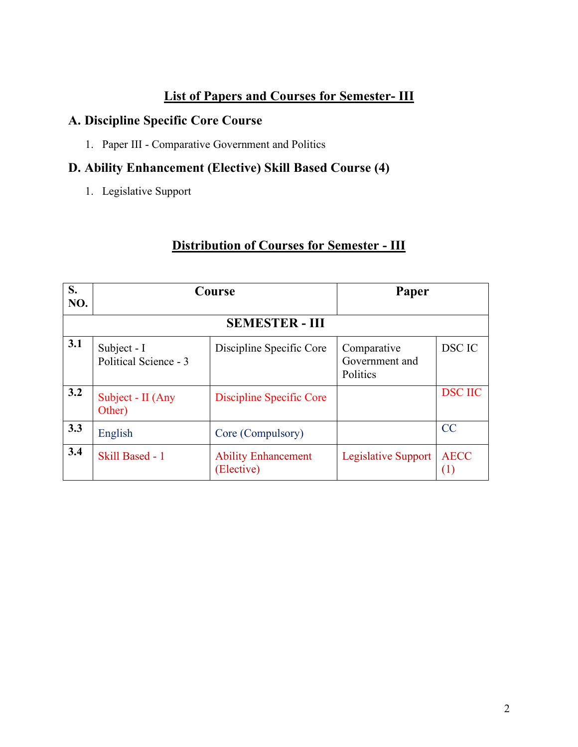# **List of Papers and Courses for Semester- III**

# **A. Discipline Specific Core Course**

1. Paper III - Comparative Government and Politics

# **D. Ability Enhancement (Elective) Skill Based Course (4)**

1. Legislative Support

# **Distribution of Courses for Semester - III**

| S.<br>NO. | Course                               |                                          | Paper                                     |                    |  |
|-----------|--------------------------------------|------------------------------------------|-------------------------------------------|--------------------|--|
|           | <b>SEMESTER - III</b>                |                                          |                                           |                    |  |
| 3.1       | Subject - I<br>Political Science - 3 | Discipline Specific Core                 | Comparative<br>Government and<br>Politics | <b>DSC IC</b>      |  |
| 3.2       | Subject - II (Any<br>Other)          | Discipline Specific Core                 |                                           | <b>DSC IIC</b>     |  |
| 3.3       | English                              | Core (Compulsory)                        |                                           | CC                 |  |
| 3.4       | Skill Based - 1                      | <b>Ability Enhancement</b><br>(Elective) | <b>Legislative Support</b>                | <b>AECC</b><br>(1) |  |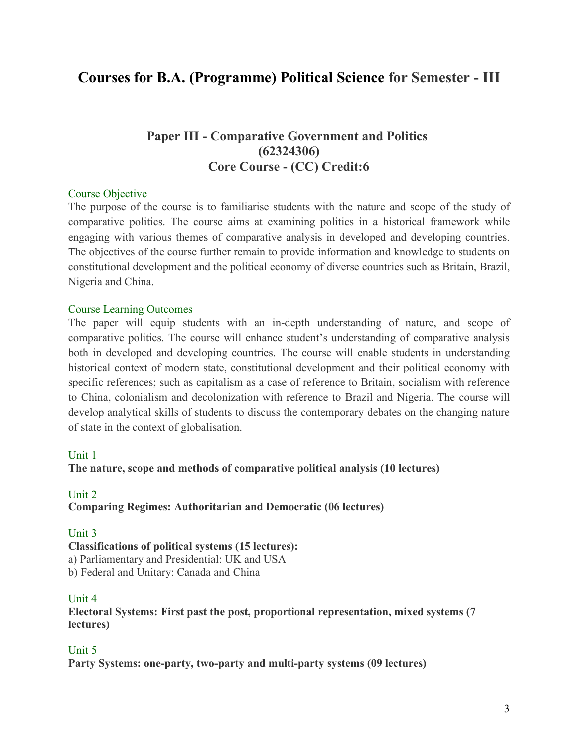# **Paper III - Comparative Government and Politics (62324306) Core Course - (CC) Credit:6**

## Course Objective

The purpose of the course is to familiarise students with the nature and scope of the study of comparative politics. The course aims at examining politics in a historical framework while engaging with various themes of comparative analysis in developed and developing countries. The objectives of the course further remain to provide information and knowledge to students on constitutional development and the political economy of diverse countries such as Britain, Brazil, Nigeria and China.

## Course Learning Outcomes

The paper will equip students with an in-depth understanding of nature, and scope of comparative politics. The course will enhance student's understanding of comparative analysis both in developed and developing countries. The course will enable students in understanding historical context of modern state, constitutional development and their political economy with specific references; such as capitalism as a case of reference to Britain, socialism with reference to China, colonialism and decolonization with reference to Brazil and Nigeria. The course will develop analytical skills of students to discuss the contemporary debates on the changing nature of state in the context of globalisation.

## Unit 1

**The nature, scope and methods of comparative political analysis (10 lectures)**

## Unit 2 **Comparing Regimes: Authoritarian and Democratic (06 lectures)**

# Unit 3

**Classifications of political systems (15 lectures):** a) Parliamentary and Presidential: UK and USA b) Federal and Unitary: Canada and China

## Unit 4

**Electoral Systems: First past the post, proportional representation, mixed systems (7 lectures)**

# Unit 5

**Party Systems: one-party, two-party and multi-party systems (09 lectures)**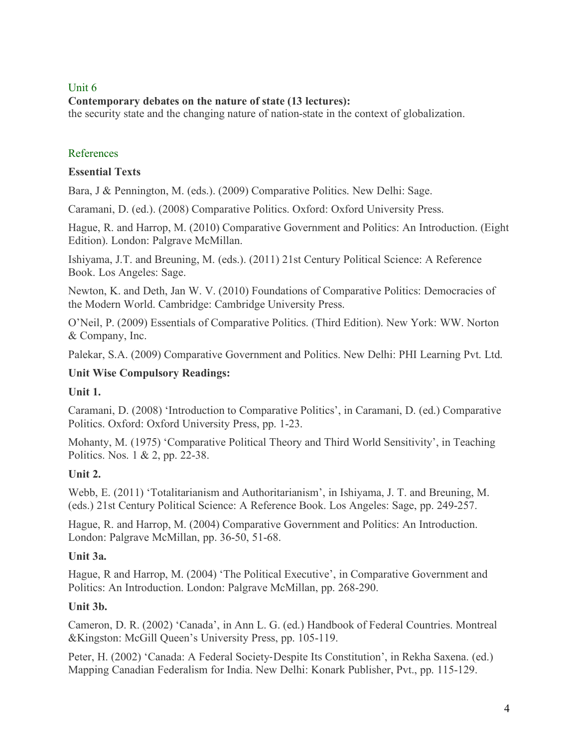## Unit 6

## **Contemporary debates on the nature of state (13 lectures):**

the security state and the changing nature of nation-state in the context of globalization.

# References

## **Essential Texts**

Bara, J & Pennington, M. (eds.). (2009) Comparative Politics. New Delhi: Sage.

Caramani, D. (ed.). (2008) Comparative Politics. Oxford: Oxford University Press.

Hague, R. and Harrop, M. (2010) Comparative Government and Politics: An Introduction. (Eight Edition). London: Palgrave McMillan.

Ishiyama, J.T. and Breuning, M. (eds.). (2011) 21st Century Political Science: A Reference Book. Los Angeles: Sage.

Newton, K. and Deth, Jan W. V. (2010) Foundations of Comparative Politics: Democracies of the Modern World. Cambridge: Cambridge University Press.

O'Neil, P. (2009) Essentials of Comparative Politics. (Third Edition). New York: WW. Norton & Company, Inc.

Palekar, S.A. (2009) Comparative Government and Politics. New Delhi: PHI Learning Pvt. Ltd.

# **Unit Wise Compulsory Readings:**

# **Unit 1.**

Caramani, D. (2008) 'Introduction to Comparative Politics', in Caramani, D. (ed.) Comparative Politics. Oxford: Oxford University Press, pp. 1-23.

Mohanty, M. (1975) 'Comparative Political Theory and Third World Sensitivity', in Teaching Politics. Nos. 1 & 2, pp. 22-38.

# **Unit 2.**

Webb, E. (2011) 'Totalitarianism and Authoritarianism', in Ishiyama, J. T. and Breuning, M. (eds.) 21st Century Political Science: A Reference Book. Los Angeles: Sage, pp. 249-257.

Hague, R. and Harrop, M. (2004) Comparative Government and Politics: An Introduction. London: Palgrave McMillan, pp. 36-50, 51-68.

# **Unit 3a.**

Hague, R and Harrop, M. (2004) 'The Political Executive', in Comparative Government and Politics: An Introduction. London: Palgrave McMillan, pp. 268-290.

# **Unit 3b.**

Cameron, D. R. (2002) 'Canada', in Ann L. G. (ed.) Handbook of Federal Countries. Montreal &Kingston: McGill Queen's University Press, pp. 105-119.

Peter, H. (2002) 'Canada: A Federal Society-Despite Its Constitution', in Rekha Saxena. (ed.) Mapping Canadian Federalism for India. New Delhi: Konark Publisher, Pvt., pp. 115-129.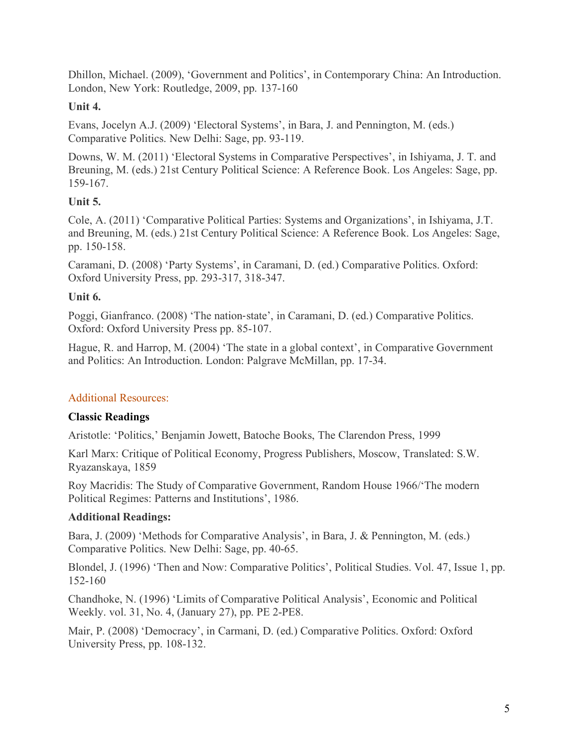Dhillon, Michael. (2009), 'Government and Politics', in Contemporary China: An Introduction. London, New York: Routledge, 2009, pp. 137-160

# **Unit 4.**

Evans, Jocelyn A.J. (2009) 'Electoral Systems', in Bara, J. and Pennington, M. (eds.) Comparative Politics. New Delhi: Sage, pp. 93-119.

Downs, W. M. (2011) 'Electoral Systems in Comparative Perspectives', in Ishiyama, J. T. and Breuning, M. (eds.) 21st Century Political Science: A Reference Book. Los Angeles: Sage, pp. 159-167.

# **Unit 5.**

Cole, A. (2011) 'Comparative Political Parties: Systems and Organizations', in Ishiyama, J.T. and Breuning, M. (eds.) 21st Century Political Science: A Reference Book. Los Angeles: Sage, pp. 150-158.

Caramani, D. (2008) 'Party Systems', in Caramani, D. (ed.) Comparative Politics. Oxford: Oxford University Press, pp. 293-317, 318-347.

# **Unit 6.**

Poggi, Gianfranco. (2008) 'The nation-state', in Caramani, D. (ed.) Comparative Politics. Oxford: Oxford University Press pp. 85-107.

Hague, R. and Harrop, M. (2004) 'The state in a global context', in Comparative Government and Politics: An Introduction. London: Palgrave McMillan, pp. 17-34.

# Additional Resources:

# **Classic Readings**

Aristotle: 'Politics,' Benjamin Jowett, Batoche Books, The Clarendon Press, 1999

Karl Marx: Critique of Political Economy, Progress Publishers, Moscow, Translated: S.W. Ryazanskaya, 1859

Roy Macridis: The Study of Comparative Government, Random House 1966/'The modern Political Regimes: Patterns and Institutions', 1986.

# **Additional Readings:**

Bara, J. (2009) 'Methods for Comparative Analysis', in Bara, J. & Pennington, M. (eds.) Comparative Politics. New Delhi: Sage, pp. 40-65.

Blondel, J. (1996) 'Then and Now: Comparative Politics', Political Studies. Vol. 47, Issue 1, pp. 152-160

Chandhoke, N. (1996) 'Limits of Comparative Political Analysis', Economic and Political Weekly. vol. 31, No. 4, (January 27), pp. PE 2-PE8.

Mair, P. (2008) 'Democracy', in Carmani, D. (ed.) Comparative Politics. Oxford: Oxford University Press, pp. 108-132.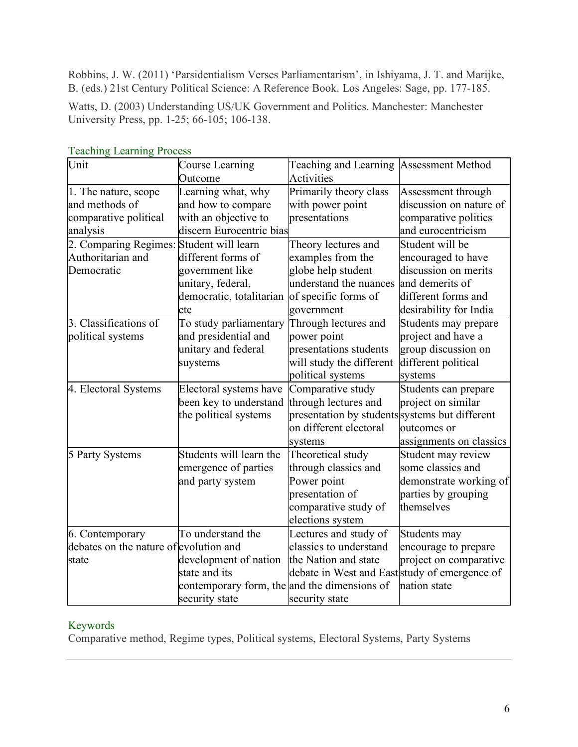Robbins, J. W. (2011) 'Parsidentialism Verses Parliamentarism', in Ishiyama, J. T. and Marijke, B. (eds.) 21st Century Political Science: A Reference Book. Los Angeles: Sage, pp. 177-185.

Watts, D. (2003) Understanding US/UK Government and Politics. Manchester: Manchester University Press, pp. 1-25; 66-105; 106-138.

| Unit                                     | Course Learning                              | Teaching and Learning Assessment Method        |                         |
|------------------------------------------|----------------------------------------------|------------------------------------------------|-------------------------|
|                                          | Outcome                                      | <b>Activities</b>                              |                         |
| 1. The nature, scope                     | Learning what, why                           | Primarily theory class                         | Assessment through      |
| and methods of                           | and how to compare                           | with power point                               | discussion on nature of |
| comparative political                    | with an objective to                         | presentations                                  | comparative politics    |
| discern Eurocentric bias<br>analysis     |                                              |                                                | and eurocentricism      |
| 2. Comparing Regimes: Student will learn |                                              | Theory lectures and                            | Student will be         |
| Authoritarian and                        | different forms of                           | examples from the                              | encouraged to have      |
| Democratic                               | government like                              | globe help student                             | discussion on merits    |
|                                          | unitary, federal,                            | understand the nuances                         | and demerits of         |
|                                          | democratic, totalitarian                     | of specific forms of                           | different forms and     |
|                                          | etc                                          | government                                     | desirability for India  |
| 3. Classifications of                    | To study parliamentary                       | Through lectures and                           | Students may prepare    |
| political systems                        | and presidential and                         | power point                                    | project and have a      |
|                                          | unitary and federal                          | presentations students                         | group discussion on     |
|                                          | suystems                                     | will study the different                       | different political     |
|                                          |                                              | political systems                              | systems                 |
| 4. Electoral Systems                     | Electoral systems have                       | Comparative study                              | Students can prepare    |
|                                          | been key to understand                       | through lectures and                           | project on similar      |
|                                          | the political systems                        | presentation by students systems but different |                         |
|                                          |                                              | on different electoral                         | outcomes or             |
|                                          |                                              | systems                                        | assignments on classics |
| 5 Party Systems                          | Students will learn the                      | Theoretical study                              | Student may review      |
|                                          | emergence of parties                         | through classics and                           | some classics and       |
|                                          | and party system                             | Power point                                    | demonstrate working of  |
|                                          |                                              | presentation of                                | parties by grouping     |
|                                          |                                              | comparative study of                           | themselves              |
|                                          |                                              | elections system                               |                         |
| 6. Contemporary                          | To understand the                            | Lectures and study of                          | Students may            |
| debates on the nature of evolution and   |                                              | classics to understand                         | encourage to prepare    |
| state                                    | development of nation                        | the Nation and state                           | project on comparative  |
|                                          | state and its                                | debate in West and East study of emergence of  |                         |
|                                          | contemporary form, the and the dimensions of |                                                | nation state            |
|                                          | security state                               | security state                                 |                         |

#### Teaching Learning Process

# Keywords

Comparative method, Regime types, Political systems, Electoral Systems, Party Systems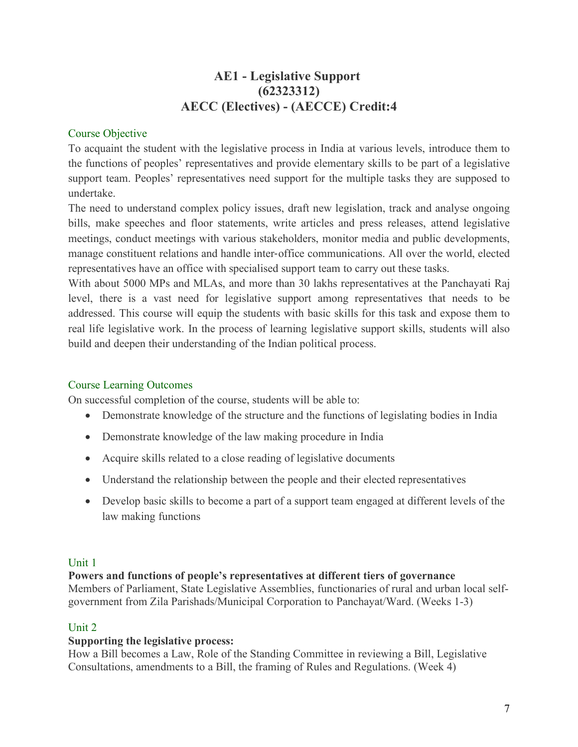# **AE1 - Legislative Support (62323312) AECC (Electives) - (AECCE) Credit:4**

# Course Objective

To acquaint the student with the legislative process in India at various levels, introduce them to the functions of peoples' representatives and provide elementary skills to be part of a legislative support team. Peoples' representatives need support for the multiple tasks they are supposed to undertake.

The need to understand complex policy issues, draft new legislation, track and analyse ongoing bills, make speeches and floor statements, write articles and press releases, attend legislative meetings, conduct meetings with various stakeholders, monitor media and public developments, manage constituent relations and handle inter-office communications. All over the world, elected representatives have an office with specialised support team to carry out these tasks.

With about 5000 MPs and MLAs, and more than 30 lakhs representatives at the Panchayati Raj level, there is a vast need for legislative support among representatives that needs to be addressed. This course will equip the students with basic skills for this task and expose them to real life legislative work. In the process of learning legislative support skills, students will also build and deepen their understanding of the Indian political process.

# Course Learning Outcomes

On successful completion of the course, students will be able to:

- Demonstrate knowledge of the structure and the functions of legislating bodies in India
- Demonstrate knowledge of the law making procedure in India
- Acquire skills related to a close reading of legislative documents
- Understand the relationship between the people and their elected representatives
- Develop basic skills to become a part of a support team engaged at different levels of the law making functions

## Unit 1

## **Powers and functions of people's representatives at different tiers of governance**

Members of Parliament, State Legislative Assemblies, functionaries of rural and urban local selfgovernment from Zila Parishads/Municipal Corporation to Panchayat/Ward. (Weeks 1-3)

# Unit 2

## **Supporting the legislative process:**

How a Bill becomes a Law, Role of the Standing Committee in reviewing a Bill, Legislative Consultations, amendments to a Bill, the framing of Rules and Regulations. (Week 4)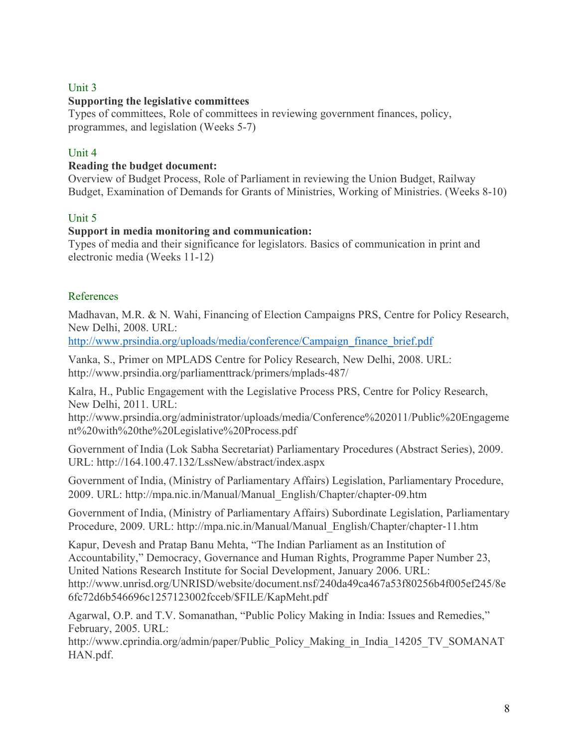## Unit 3

#### **Supporting the legislative committees**

Types of committees, Role of committees in reviewing government finances, policy, programmes, and legislation (Weeks 5-7)

#### Unit 4

#### **Reading the budget document:**

Overview of Budget Process, Role of Parliament in reviewing the Union Budget, Railway Budget, Examination of Demands for Grants of Ministries, Working of Ministries. (Weeks 8-10)

#### Unit 5

#### **Support in media monitoring and communication:**

Types of media and their significance for legislators. Basics of communication in print and electronic media (Weeks 11-12)

#### References

Madhavan, M.R. & N. Wahi, Financing of Election Campaigns PRS, Centre for Policy Research, New Delhi, 2008. URL:

http://www.prsindia.org/uploads/media/conference/Campaign\_finance\_brief.pdf

Vanka, S., Primer on MPLADS Centre for Policy Research, New Delhi, 2008. URL: http://www.prsindia.org/parliamenttrack/primers/mplads-487/

Kalra, H., Public Engagement with the Legislative Process PRS, Centre for Policy Research, New Delhi, 2011. URL:

http://www.prsindia.org/administrator/uploads/media/Conference%202011/Public%20Engageme nt%20with%20the%20Legislative%20Process.pdf

Government of India (Lok Sabha Secretariat) Parliamentary Procedures (Abstract Series), 2009. URL: http://164.100.47.132/LssNew/abstract/index.aspx

Government of India, (Ministry of Parliamentary Affairs) Legislation, Parliamentary Procedure, 2009. URL: http://mpa.nic.in/Manual/Manual\_English/Chapter/chapter-09.htm

Government of India, (Ministry of Parliamentary Affairs) Subordinate Legislation, Parliamentary Procedure, 2009. URL: http://mpa.nic.in/Manual/Manual\_English/Chapter/chapter-11.htm

Kapur, Devesh and Pratap Banu Mehta, "The Indian Parliament as an Institution of Accountability," Democracy, Governance and Human Rights, Programme Paper Number 23, United Nations Research Institute for Social Development, January 2006. URL: http://www.unrisd.org/UNRISD/website/document.nsf/240da49ca467a53f80256b4f005ef245/8e 6fc72d6b546696c1257123002fcceb/\$FILE/KapMeht.pdf

Agarwal, O.P. and T.V. Somanathan, "Public Policy Making in India: Issues and Remedies," February, 2005. URL:

http://www.cprindia.org/admin/paper/Public\_Policy\_Making\_in\_India\_14205\_TV\_SOMANAT HAN.pdf.